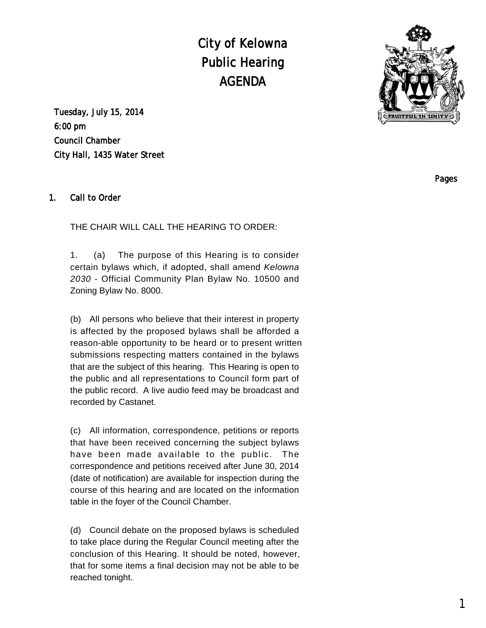City of Kelowna Public Hearing AGENDA



Tuesday, July 15, 2014 6:00 pm Council Chamber City Hall, 1435 Water Street

### 1. Call to Order

THE CHAIR WILL CALL THE HEARING TO ORDER:

1. (a) The purpose of this Hearing is to consider certain bylaws which, if adopted, shall amend Kelowna 2030 - Official Community Plan Bylaw No. 10500 and Zoning Bylaw No. 8000.

(b) All persons who believe that their interest in property is affected by the proposed bylaws shall be afforded a reason-able opportunity to be heard or to present written submissions respecting matters contained in the bylaws that are the subject of this hearing. This Hearing is open to the public and all representations to Council form part of the public record. A live audio feed may be broadcast and recorded by Castanet.

(c) All information, correspondence, petitions or reports that have been received concerning the subject bylaws have been made available to the public. The correspondence and petitions received after June 30, 2014 (date of notification) are available for inspection during the course of this hearing and are located on the information table in the foyer of the Council Chamber.

(d) Council debate on the proposed bylaws is scheduled to take place during the Regular Council meeting after the conclusion of this Hearing. It should be noted, however, that for some items a final decision may not be able to be reached tonight.

Pages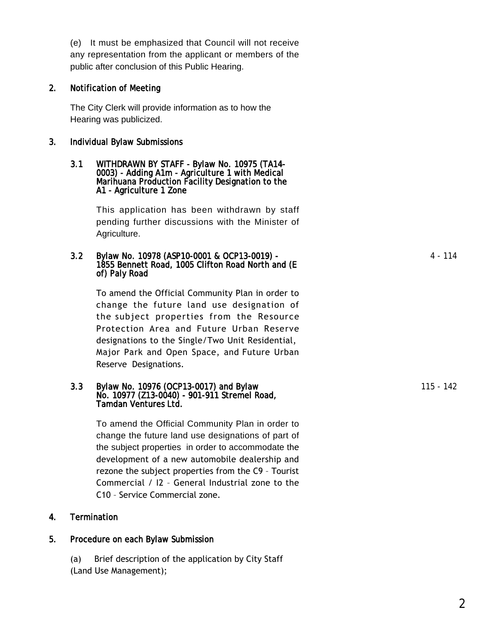(e) It must be emphasized that Council will not receive any representation from the applicant or members of the public after conclusion of this Public Hearing.

### 2. Notification of Meeting

The City Clerk will provide information as to how the Hearing was publicized.

### 3. Individual Bylaw Submissions

#### 3.1 WITHDRAWN BY STAFF - Bylaw No. 10975 (TA14- 0003) - Adding A1m - Agriculture 1 with Medical Marihuana Production Facility Designation to the A1 - Agriculture 1 Zone

This application has been withdrawn by staff pending further discussions with the Minister of Agriculture.

### 3.2 Bylaw No. 10978 (ASP10-0001 & OCP13-0019) - 1855 Bennett Road, 1005 Clifton Road North and (E of) Paly Road

To amend the Official Community Plan in order to change the future land use designation of the subject properties from the Resource Protection Area and Future Urban Reserve designations to the Single/Two Unit Residential, Major Park and Open Space, and Future Urban Reserve Designations.

### 3.3 Bylaw No. 10976 (OCP13-0017) and Bylaw No. 10977 (Z13-0040) - 901-911 Stremel Road, Tamdan Ventures Ltd.

To amend the Official Community Plan in order to change the future land use designations of part of the subject properties in order to accommodate the development of a new automobile dealership and rezone the subject properties from the C9 – Tourist Commercial / I2 – General Industrial zone to the C10 – Service Commercial zone.

## 4. Termination

# 5. Procedure on each Bylaw Submission

(a) Brief description of the application by City Staff (Land Use Management);